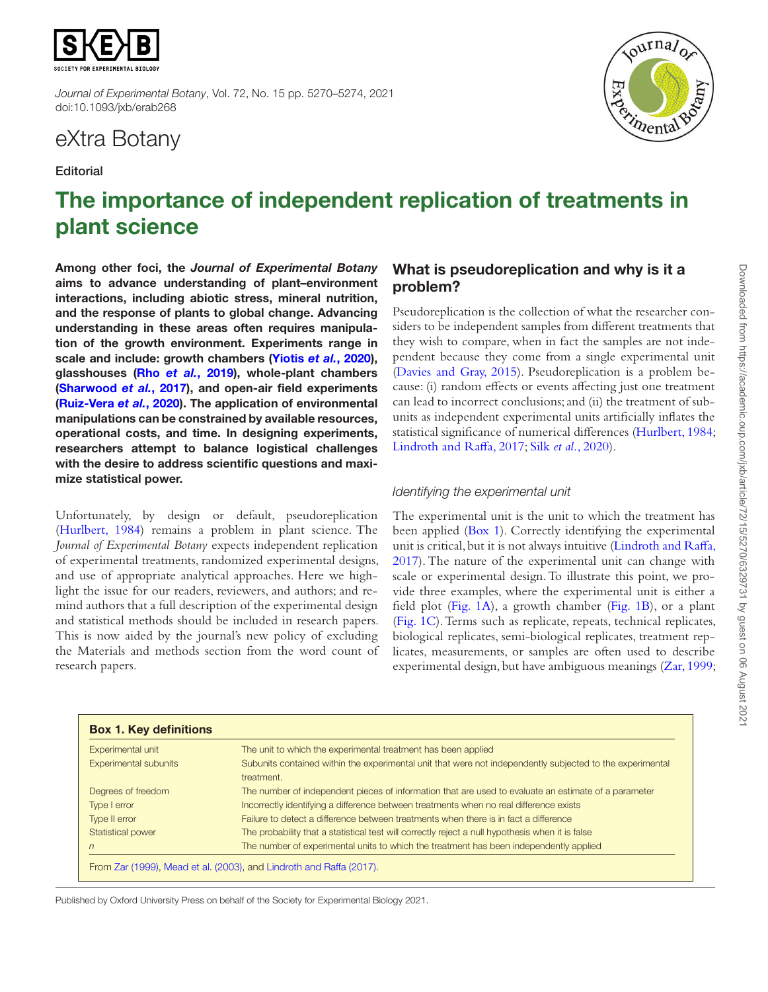

*Journal of Experimental Botany*, Vol. 72, No. 15 pp. 5270–5274, 2021 doi:10.1093/jxb/erab268

## eXtra Botany

#### **Editorial**



# The importance of independent replication of treatments in plant science

Among other foci, the *Journal of Experimental Botany* aims to advance understanding of plant–environment interactions, including abiotic stress, mineral nutrition, and the response of plants to global change. Advancing understanding in these areas often requires manipulation of the growth environment. Experiments range in scale and include: growth chambers [\(Yiotis](#page-4-0) *et al.*, 2020), glasshouses (Rho *et al.*[, 2019](#page-4-1)), whole-plant chambers [\(Sharwood](#page-4-2) *et al.*, 2017), and open-air field experiments [\(Ruiz-Vera](#page-4-3) *et al.*, 2020). The application of environmental manipulations can be constrained by available resources, operational costs, and time. In designing experiments, researchers attempt to balance logistical challenges with the desire to address scientific questions and maximize statistical power.

Unfortunately, by design or default, pseudoreplication [\(Hurlbert, 1984\)](#page-4-4) remains a problem in plant science. The *Journal of Experimental Botany* expects independent replication of experimental treatments, randomized experimental designs, and use of appropriate analytical approaches. Here we highlight the issue for our readers, reviewers, and authors; and remind authors that a full description of the experimental design and statistical methods should be included in research papers. This is now aided by the journal's new policy of excluding the Materials and methods section from the word count of research papers.

## What is pseudoreplication and why is it a problem?

Pseudoreplication is the collection of what the researcher considers to be independent samples from different treatments that they wish to compare, when in fact the samples are not independent because they come from a single experimental unit [\(Davies and Gray, 2015](#page-3-0)). Pseudoreplication is a problem because: (i) random effects or events affecting just one treatment can lead to incorrect conclusions; and (ii) the treatment of subunits as independent experimental units artificially inflates the statistical significance of numerical differences [\(Hurlbert, 1984;](#page-4-4) [Lindroth and Raffa, 2017](#page-4-5); Silk *et al.*[, 2020\)](#page-4-6).

### *Identifying the experimental unit*

The experimental unit is the unit to which the treatment has been applied [\(Box 1\)](#page-0-0). Correctly identifying the experimental unit is critical, but it is not always intuitive ([Lindroth and Raffa,](#page-4-5) [2017\)](#page-4-5). The nature of the experimental unit can change with scale or experimental design. To illustrate this point, we provide three examples, where the experimental unit is either a field plot ([Fig. 1A\)](#page-1-0), a growth chamber [\(Fig. 1B](#page-1-0)), or a plant [\(Fig. 1C\)](#page-1-0). Terms such as replicate, repeats, technical replicates, biological replicates, semi-biological replicates, treatment replicates, measurements, or samples are often used to describe experimental design, but have ambiguous meanings ([Zar, 1999;](#page-4-7)

<span id="page-0-0"></span>

| Experimental unit            | The unit to which the experimental treatment has been applied                                                           |
|------------------------------|-------------------------------------------------------------------------------------------------------------------------|
| <b>Experimental subunits</b> | Subunits contained within the experimental unit that were not independently subjected to the experimental<br>treatment. |
| Degrees of freedom           | The number of independent pieces of information that are used to evaluate an estimate of a parameter                    |
| Type I error                 | Incorrectly identifying a difference between treatments when no real difference exists                                  |
| Type II error                | Failure to detect a difference between treatments when there is in fact a difference                                    |
| Statistical power            | The probability that a statistical test will correctly reject a null hypothesis when it is false                        |
| $\sqrt{n}$                   | The number of experimental units to which the treatment has been independently applied                                  |

Published by Oxford University Press on behalf of the Society for Experimental Biology 2021.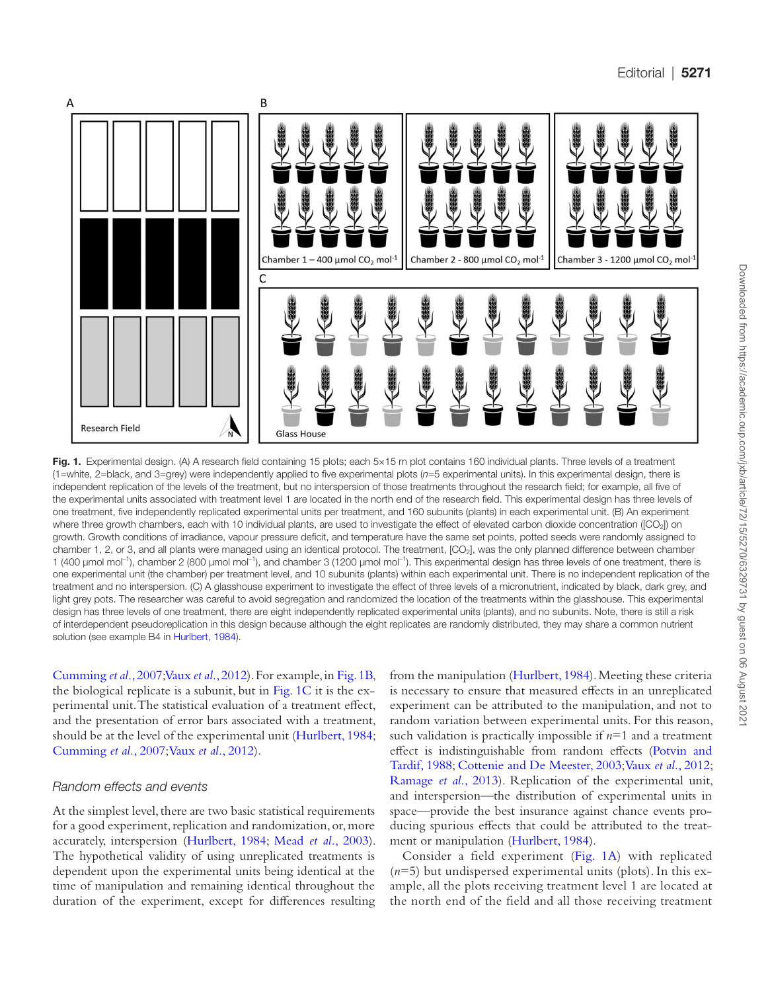

<span id="page-1-0"></span>Fig. 1. Experimental design. (A) A research field containing 15 plots; each 5×15 m plot contains 160 individual plants. Three levels of a treatment (1=white, 2=black, and 3=grey) were independently applied to five experimental plots (*n*=5 experimental units). In this experimental design, there is independent replication of the levels of the treatment, but no interspersion of those treatments throughout the research field; for example, all five of the experimental units associated with treatment level 1 are located in the north end of the research field. This experimental design has three levels of one treatment, five independently replicated experimental units per treatment, and 160 subunits (plants) in each experimental unit. (B) An experiment where three growth chambers, each with 10 individual plants, are used to investigate the effect of elevated carbon dioxide concentration ([CO<sub>2</sub>]) on growth. Growth conditions of irradiance, vapour pressure deficit, and temperature have the same set points, potted seeds were randomly assigned to chamber 1, 2, or 3, and all plants were managed using an identical protocol. The treatment, [CO2], was the only planned difference between chamber 1 (400 μmol mol<sup>-1</sup>), chamber 2 (800 μmol mol<sup>-1</sup>), and chamber 3 (1200 μmol mol<sup>-1</sup>). This experimental design has three levels of one treatment, there is one experimental unit (the chamber) per treatment level, and 10 subunits (plants) within each experimental unit. There is no independent replication of the treatment and no interspersion. (C) A glasshouse experiment to investigate the effect of three levels of a micronutrient, indicated by black, dark grey, and light grey pots. The researcher was careful to avoid segregation and randomized the location of the treatments within the glasshouse. This experimental design has three levels of one treatment, there are eight independently replicated experimental units (plants), and no subunits. Note, there is still a risk of interdependent pseudoreplication in this design because although the eight replicates are randomly distributed, they may share a common nutrient solution (see example B4 in [Hurlbert, 1984](#page-4-4)).

[Cumming](#page-3-1) *et al.*, 2007; Vaux *et al.*[, 2012](#page-4-9)). For example, in [Fig. 1B](#page-1-0), the biological replicate is a subunit, but in [Fig. 1C](#page-1-0) it is the experimental unit. The statistical evaluation of a treatment effect, and the presentation of error bars associated with a treatment, should be at the level of the experimental unit [\(Hurlbert, 1984](#page-4-4); [Cumming](#page-3-1) *et al.*, 2007; Vaux *et al.*[, 2012\)](#page-4-9).

#### *Random effects and events*

At the simplest level, there are two basic statistical requirements for a good experiment, replication and randomization, or, more accurately, interspersion [\(Hurlbert, 1984](#page-4-4); Mead *et al.*[, 2003](#page-4-8)). The hypothetical validity of using unreplicated treatments is dependent upon the experimental units being identical at the time of manipulation and remaining identical throughout the duration of the experiment, except for differences resulting from the manipulation [\(Hurlbert, 1984](#page-4-4)). Meeting these criteria is necessary to ensure that measured effects in an unreplicated experiment can be attributed to the manipulation, and not to random variation between experimental units. For this reason, such validation is practically impossible if *n*=1 and a treatment effect is indistinguishable from random effects ([Potvin and](#page-4-10)  [Tardif, 1988;](#page-4-10) [Cottenie and De Meester, 2003;](#page-3-2) Vaux *et al.*[, 2012](#page-4-9); [Ramage](#page-4-11) *et al.*, 2013). Replication of the experimental unit, and interspersion—the distribution of experimental units in space—provide the best insurance against chance events producing spurious effects that could be attributed to the treatment or manipulation [\(Hurlbert, 1984\)](#page-4-4).

Consider a field experiment [\(Fig. 1A](#page-1-0)) with replicated (*n*=5) but undispersed experimental units (plots). In this example, all the plots receiving treatment level 1 are located at the north end of the field and all those receiving treatment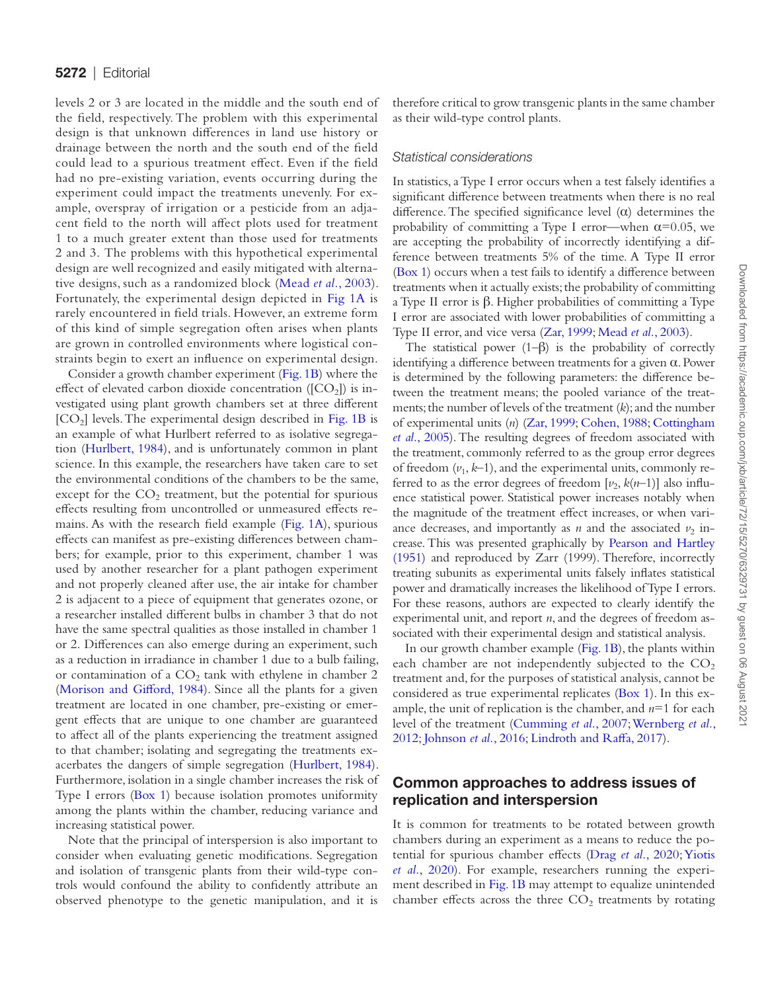Downloaded from https://academic.oup.com/jxb/article/72/15/5270/6329731 by guest on 06 August 202 Downloaded from https://academic.oup.com/jxb/article/72/15/5270/6329731 by guest on 06 August 2021

levels 2 or 3 are located in the middle and the south end of the field, respectively. The problem with this experimental design is that unknown differences in land use history or drainage between the north and the south end of the field could lead to a spurious treatment effect. Even if the field had no pre-existing variation, events occurring during the experiment could impact the treatments unevenly. For example, overspray of irrigation or a pesticide from an adjacent field to the north will affect plots used for treatment 1 to a much greater extent than those used for treatments 2 and 3. The problems with this hypothetical experimental design are well recognized and easily mitigated with alternative designs, such as a randomized block ([Mead](#page-4-8) *et al.*, 2003). Fortunately, the experimental design depicted in [Fig 1A](#page-1-0) is rarely encountered in field trials. However, an extreme form of this kind of simple segregation often arises when plants are grown in controlled environments where logistical constraints begin to exert an influence on experimental design.

Consider a growth chamber experiment [\(Fig. 1B](#page-1-0)) where the effect of elevated carbon dioxide concentration ( $[CO<sub>2</sub>]$ ) is investigated using plant growth chambers set at three different  $[CO<sub>2</sub>]$  levels. The experimental design described in [Fig. 1B](#page-1-0) is an example of what Hurlbert referred to as isolative segregation ([Hurlbert, 1984](#page-4-4)), and is unfortunately common in plant science. In this example, the researchers have taken care to set the environmental conditions of the chambers to be the same, except for the  $CO<sub>2</sub>$  treatment, but the potential for spurious effects resulting from uncontrolled or unmeasured effects remains. As with the research field example ([Fig. 1A\)](#page-1-0), spurious effects can manifest as pre-existing differences between chambers; for example, prior to this experiment, chamber 1 was used by another researcher for a plant pathogen experiment and not properly cleaned after use, the air intake for chamber 2 is adjacent to a piece of equipment that generates ozone, or a researcher installed different bulbs in chamber 3 that do not have the same spectral qualities as those installed in chamber 1 or 2. Differences can also emerge during an experiment, such as a reduction in irradiance in chamber 1 due to a bulb failing, or contamination of a  $CO<sub>2</sub>$  tank with ethylene in chamber 2 [\(Morison and Gifford, 1984](#page-4-12)). Since all the plants for a given treatment are located in one chamber, pre-existing or emergent effects that are unique to one chamber are guaranteed to affect all of the plants experiencing the treatment assigned to that chamber; isolating and segregating the treatments exacerbates the dangers of simple segregation ([Hurlbert, 1984](#page-4-4)). Furthermore, isolation in a single chamber increases the risk of Type I errors ([Box 1\)](#page-0-0) because isolation promotes uniformity among the plants within the chamber, reducing variance and increasing statistical power.

Note that the principal of interspersion is also important to consider when evaluating genetic modifications. Segregation and isolation of transgenic plants from their wild-type controls would confound the ability to confidently attribute an observed phenotype to the genetic manipulation, and it is therefore critical to grow transgenic plants in the same chamber as their wild-type control plants.

#### *Statistical considerations*

In statistics, a Type I error occurs when a test falsely identifies a significant difference between treatments when there is no real difference. The specified significance level  $(\alpha)$  determines the probability of committing a Type I error—when  $\alpha$ =0.05, we are accepting the probability of incorrectly identifying a difference between treatments 5% of the time. A Type II error [\(Box 1\)](#page-0-0) occurs when a test fails to identify a difference between treatments when it actually exists; the probability of committing a Type II error is β. Higher probabilities of committing a Type I error are associated with lower probabilities of committing a Type II error, and vice versa ([Zar, 1999;](#page-4-7) [Mead](#page-4-8) *et al.*, 2003).

The statistical power  $(1-\beta)$  is the probability of correctly identifying a difference between treatments for a given  $\alpha$ . Power is determined by the following parameters: the difference between the treatment means; the pooled variance of the treatments; the number of levels of the treatment (*k*); and the number of experimental units (*n*) [\(Zar, 1999;](#page-4-7) [Cohen, 1988](#page-3-3); [Cottingham](#page-3-4) *et al.*[, 2005](#page-3-4)). The resulting degrees of freedom associated with the treatment, commonly referred to as the group error degrees of freedom  $(v_1, k-1)$ , and the experimental units, commonly referred to as the error degrees of freedom  $[\nu_2, k(n-1)]$  also influence statistical power. Statistical power increases notably when the magnitude of the treatment effect increases, or when variance decreases, and importantly as *n* and the associated  $v_2$  increase. This was presented graphically by [Pearson and Hartley](#page-4-13) [\(1951\)](#page-4-13) and reproduced by Zarr (1999). Therefore, incorrectly treating subunits as experimental units falsely inflates statistical power and dramatically increases the likelihood of Type I errors. For these reasons, authors are expected to clearly identify the experimental unit, and report *n*, and the degrees of freedom associated with their experimental design and statistical analysis.

In our growth chamber example ([Fig. 1B](#page-1-0)), the plants within each chamber are not independently subjected to the  $CO<sub>2</sub>$ treatment and, for the purposes of statistical analysis, cannot be considered as true experimental replicates [\(Box 1\)](#page-0-0). In this example, the unit of replication is the chamber, and *n*=1 for each level of the treatment ([Cumming](#page-3-1) *et al.*, 2007; [Wernberg](#page-4-14) *et al.*, [2012;](#page-4-14) [Johnson](#page-4-15) *et al.*, 2016; [Lindroth and Raffa, 2017\)](#page-4-5).

#### Common approaches to address issues of replication and interspersion

It is common for treatments to be rotated between growth chambers during an experiment as a means to reduce the potential for spurious chamber effects (Drag *et al.*[, 2020;](#page-3-5) [Yiotis](#page-4-0) *et al.*[, 2020](#page-4-0)). For example, researchers running the experiment described in [Fig. 1B](#page-1-0) may attempt to equalize unintended chamber effects across the three  $CO<sub>2</sub>$  treatments by rotating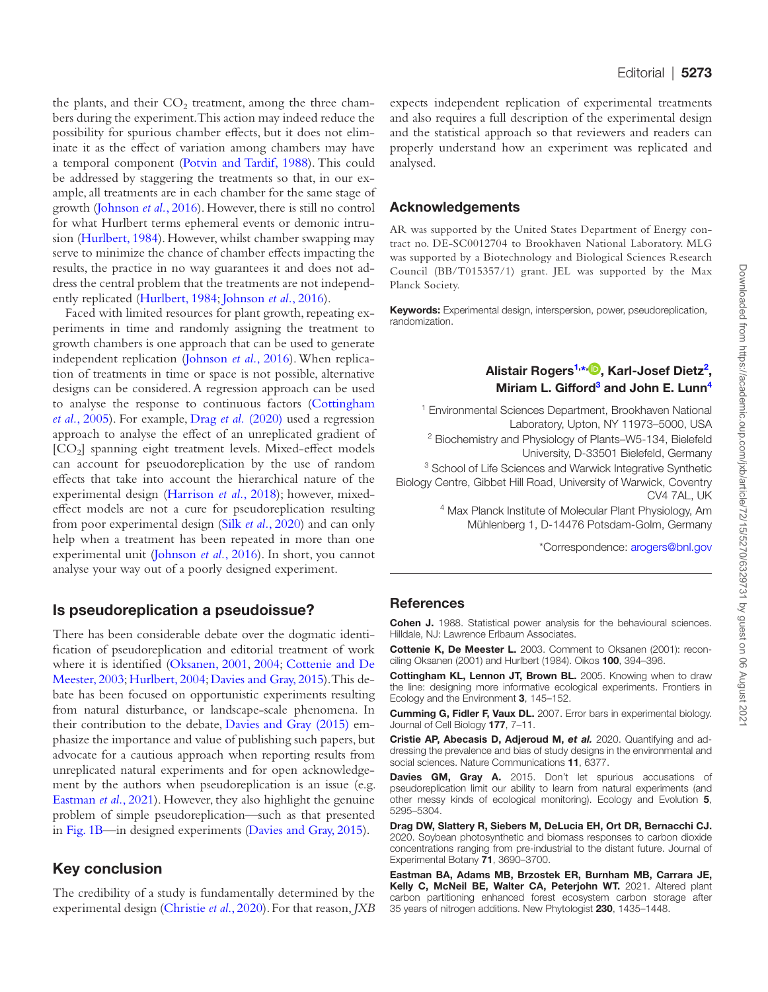the plants, and their  $CO<sub>2</sub>$  treatment, among the three chambers during the experiment. This action may indeed reduce the possibility for spurious chamber effects, but it does not eliminate it as the effect of variation among chambers may have a temporal component ([Potvin and Tardif, 1988\)](#page-4-10). This could be addressed by staggering the treatments so that, in our example, all treatments are in each chamber for the same stage of growth ([Johnson](#page-4-15) *et al.*, 2016). However, there is still no control for what Hurlbert terms ephemeral events or demonic intrusion ([Hurlbert, 1984](#page-4-4)). However, whilst chamber swapping may serve to minimize the chance of chamber effects impacting the results, the practice in no way guarantees it and does not address the central problem that the treatments are not independently replicated ([Hurlbert, 1984](#page-4-4); [Johnson](#page-4-15) *et al.*, 2016).

Faced with limited resources for plant growth, repeating experiments in time and randomly assigning the treatment to growth chambers is one approach that can be used to generate independent replication [\(Johnson](#page-4-15) *et al.*, 2016). When replication of treatments in time or space is not possible, alternative designs can be considered. A regression approach can be used to analyse the response to continuous factors ([Cottingham](#page-3-4) *et al.*[, 2005\)](#page-3-4). For example, Drag *et al.* [\(2020\)](#page-3-5) used a regression approach to analyse the effect of an unreplicated gradient of [CO2] spanning eight treatment levels. Mixed-effect models can account for pseuodoreplication by the use of random effects that take into account the hierarchical nature of the experimental design [\(Harrison](#page-4-16) *et al.*, 2018); however, mixedeffect models are not a cure for pseudoreplication resulting from poor experimental design (Silk *et al.*[, 2020\)](#page-4-6) and can only help when a treatment has been repeated in more than one experimental unit [\(Johnson](#page-4-15) *et al.*, 2016). In short, you cannot analyse your way out of a poorly designed experiment.

#### Is pseudoreplication a pseudoissue?

There has been considerable debate over the dogmatic identification of pseudoreplication and editorial treatment of work where it is identified [\(Oksanen, 2001](#page-4-17), [2004](#page-4-18); [Cottenie and De](#page-3-2)  [Meester, 2003;](#page-3-2) [Hurlbert, 2004;](#page-4-19) [Davies and Gray, 2015](#page-3-0)). This debate has been focused on opportunistic experiments resulting from natural disturbance, or landscape-scale phenomena. In their contribution to the debate, [Davies and Gray \(2015\)](#page-3-0) emphasize the importance and value of publishing such papers, but advocate for a cautious approach when reporting results from unreplicated natural experiments and for open acknowledgement by the authors when pseudoreplication is an issue (e.g. [Eastman](#page-3-6) *et al.*, 2021). However, they also highlight the genuine problem of simple pseudoreplication—such as that presented in [Fig. 1B](#page-1-0)—in designed experiments [\(Davies and Gray, 2015](#page-3-0)).

### Key conclusion

The credibility of a study is fundamentally determined by the experimental design ([Christie](#page-3-7) *et al*., 2020). For that reason, *JXB* expects independent replication of experimental treatments and also requires a full description of the experimental design and the statistical approach so that reviewers and readers can properly understand how an experiment was replicated and analysed.

#### Acknowledgements

AR was supported by the United States Department of Energy contract no. DE-SC0012704 to Brookhaven National Laboratory. MLG was supported by a Biotechnology and Biological Sciences Research Council (BB/T015357/1) grant. JEL was supported by the Max Planck Society.

Keywords: Experimental design, interspersion, power, pseudoreplication, randomization.

#### <span id="page-3-10"></span><span id="page-3-8"></span>Alistair Rogers<sup>[1,](#page-3-8)[\\*](#page-3-9)[,](https://orcid.org/0000-0001-9262-7430) D</sup>, Karl-Josef Dietz<sup>[2](#page-3-10)</sup>, Miriam L. Gifford<sup>[3](#page-3-11)</sup> and John E. Lunn<sup>4</sup>

1 Environmental Sciences Department, Brookhaven National Laboratory, Upton, NY 11973–5000, USA <sup>2</sup> Biochemistry and Physiology of Plants-W5-134, Bielefeld University, D-33501 Bielefeld, Germany <sup>3</sup> School of Life Sciences and Warwick Integrative Synthetic Biology Centre, Gibbet Hill Road, University of Warwick, Coventry

> <span id="page-3-12"></span><span id="page-3-11"></span>CV4 7AL, UK 4 Max Planck Institute of Molecular Plant Physiology, Am Mühlenberg 1, D-14476 Potsdam-Golm, Germany

> > <span id="page-3-9"></span>\*Correspondence: [arogers@bnl.gov](mailto:arogers@bnl.gov?subject=)

#### **References**

<span id="page-3-3"></span>Cohen J. 1988. Statistical power analysis for the behavioural sciences. Hilldale, NJ: Lawrence Erlbaum Associates.

<span id="page-3-2"></span>Cottenie K, De Meester L. 2003. Comment to Oksanen (2001): reconciling Oksanen (2001) and Hurlbert (1984). Oikos 100, 394–396.

<span id="page-3-4"></span>Cottingham KL, Lennon JT, Brown BL. 2005. Knowing when to draw the line: designing more informative ecological experiments. Frontiers in Ecology and the Environment 3, 145–152.

<span id="page-3-1"></span>Cumming G, Fidler F, Vaux DL. 2007. Error bars in experimental biology. Journal of Cell Biology 177, 7–11.

<span id="page-3-7"></span>Cristie AP, Abecasis D, Adjeroud M, *et al.* 2020. Quantifying and addressing the prevalence and bias of study designs in the environmental and social sciences. Nature Communications 11, 6377.

<span id="page-3-0"></span>Davies GM, Gray A. 2015. Don't let spurious accusations of pseudoreplication limit our ability to learn from natural experiments (and other messy kinds of ecological monitoring). Ecology and Evolution 5, 5295–5304.

<span id="page-3-5"></span>Drag DW, Slattery R, Siebers M, DeLucia EH, Ort DR, Bernacchi CJ. 2020. Soybean photosynthetic and biomass responses to carbon dioxide concentrations ranging from pre-industrial to the distant future. Journal of Experimental Botany 71, 3690–3700.

<span id="page-3-6"></span>Eastman BA, Adams MB, Brzostek ER, Burnham MB, Carrara JE, Kelly C, McNeil BE, Walter CA, Peterjohn WT. 2021. Altered plant carbon partitioning enhanced forest ecosystem carbon storage after 35 years of nitrogen additions. New Phytologist 230, 1435–1448.